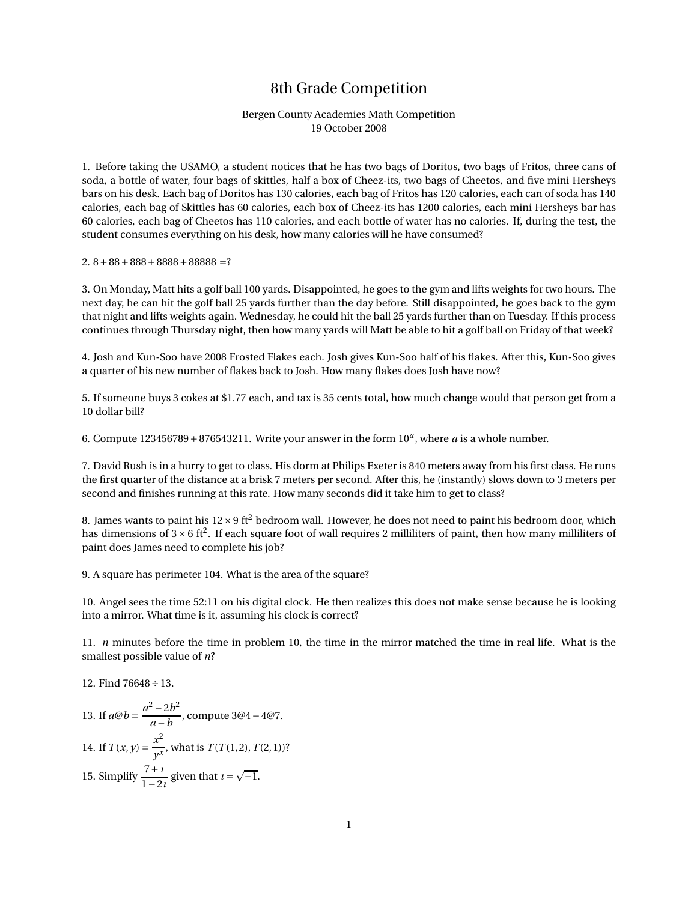## 8th Grade Competition

## Bergen County Academies Math Competition 19 October 2008

1. Before taking the USAMO, a student notices that he has two bags of Doritos, two bags of Fritos, three cans of soda, a bottle of water, four bags of skittles, half a box of Cheez-its, two bags of Cheetos, and five mini Hersheys bars on his desk. Each bag of Doritos has 130 calories, each bag of Fritos has 120 calories, each can of soda has 140 calories, each bag of Skittles has 60 calories, each box of Cheez-its has 1200 calories, each mini Hersheys bar has 60 calories, each bag of Cheetos has 110 calories, and each bottle of water has no calories. If, during the test, the student consumes everything on his desk, how many calories will he have consumed?

2.  $8+88+888+8888+88888$  =?

3. On Monday, Matt hits a golf ball 100 yards. Disappointed, he goes to the gym and lifts weights for two hours. The next day, he can hit the golf ball 25 yards further than the day before. Still disappointed, he goes back to the gym that night and lifts weights again. Wednesday, he could hit the ball 25 yards further than on Tuesday. If this process continues through Thursday night, then how many yards will Matt be able to hit a golf ball on Friday of that week?

4. Josh and Kun-Soo have 2008 Frosted Flakes each. Josh gives Kun-Soo half of his flakes. After this, Kun-Soo gives a quarter of his new number of flakes back to Josh. How many flakes does Josh have now?

5. If someone buys 3 cokes at \$1.77 each, and tax is 35 cents total, how much change would that person get from a 10 dollar bill?

6. Compute  $123456789 + 876543211$ . Write your answer in the form  $10<sup>a</sup>$ , where *a* is a whole number.

7. David Rush is in a hurry to get to class. His dorm at Philips Exeter is 840 meters away from his first class. He runs the first quarter of the distance at a brisk 7 meters per second. After this, he (instantly) slows down to 3 meters per second and finishes running at this rate. How many seconds did it take him to get to class?

8. James wants to paint his  $12 \times 9$  ft<sup>2</sup> bedroom wall. However, he does not need to paint his bedroom door, which has dimensions of  $3 \times 6$  ft<sup>2</sup>. If each square foot of wall requires 2 milliliters of paint, then how many milliliters of paint does James need to complete his job?

9. A square has perimeter 104. What is the area of the square?

10. Angel sees the time 52:11 on his digital clock. He then realizes this does not make sense because he is looking into a mirror. What time is it, assuming his clock is correct?

11. *n* minutes before the time in problem 10, the time in the mirror matched the time in real life. What is the smallest possible value of *n*?

12. Find 76648÷13.

13. If 
$$
a@b = \frac{a^2 - 2b^2}{a - b}
$$
, compute  $3@4 - 4@7$ .  
\n14. If  $T(x, y) = \frac{x^2}{y^x}$ , what is  $T(T(1, 2), T(2, 1))$ ?  
\n15. Simplify  $\frac{7 + i}{1 - 2i}$  given that  $i = \sqrt{-1}$ .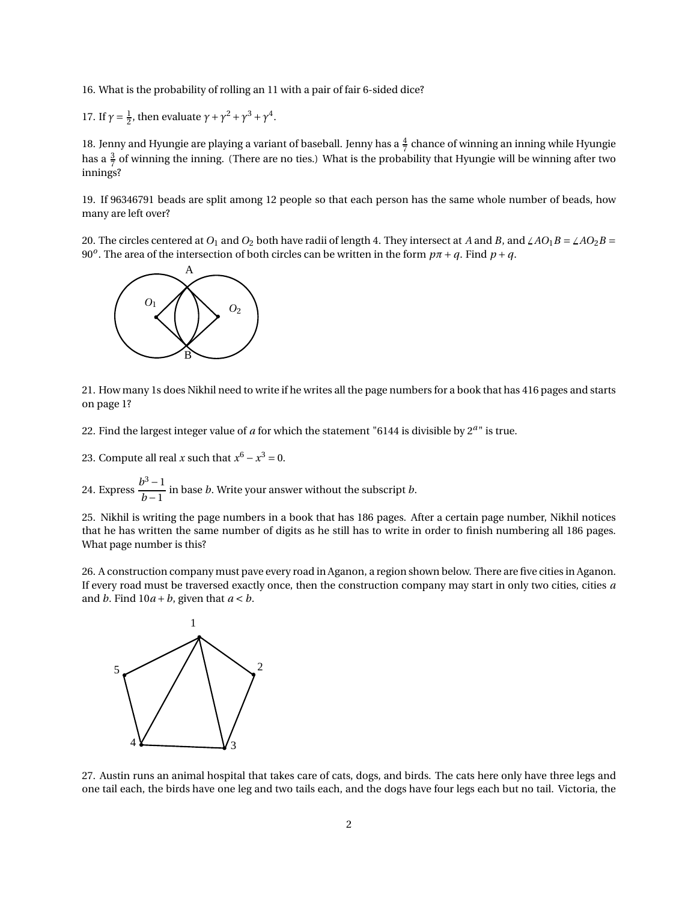16. What is the probability of rolling an 11 with a pair of fair 6-sided dice?

17. If  $\gamma = \frac{1}{2}$ , then evaluate  $\gamma + \gamma^2 + \gamma^3 + \gamma^4$ .

18. Jenny and Hyungie are playing a variant of baseball. Jenny has a  $\frac{4}{7}$  chance of winning an inning while Hyungie has a  $\frac{3}{7}$  of winning the inning. (There are no ties.) What is the probability that Hyungie will be winning after two innings?

19. If 96346791 beads are split among 12 people so that each person has the same whole number of beads, how many are left over?

20. The circles centered at  $O_1$  and  $O_2$  both have radii of length 4. They intersect at *A* and *B*, and  $\angle AO_1B = \angle AO_2B$ 90<sup>*o*</sup>. The area of the intersection of both circles can be written in the form  $p\pi + q$ . Find  $p + q$ .



21. How many 1s does Nikhil need to write if he writes all the page numbers for a book that has 416 pages and starts on page 1?

22. Find the largest integer value of *a* for which the statement "6144 is divisible by 2*<sup>a</sup>* " is true.

23. Compute all real *x* such that  $x^6 - x^3 = 0$ .

24. Express  $\frac{b^3-1}{1}$  $\frac{1}{b-1}$  in base *b*. Write your answer without the subscript *b*.

25. Nikhil is writing the page numbers in a book that has 186 pages. After a certain page number, Nikhil notices that he has written the same number of digits as he still has to write in order to finish numbering all 186 pages. What page number is this?

26. A construction company must pave every road in Aganon, a region shown below. There are five cities in Aganon. If every road must be traversed exactly once, then the construction company may start in only two cities, cities *a* and *b*. Find  $10a + b$ , given that  $a < b$ .



27. Austin runs an animal hospital that takes care of cats, dogs, and birds. The cats here only have three legs and one tail each, the birds have one leg and two tails each, and the dogs have four legs each but no tail. Victoria, the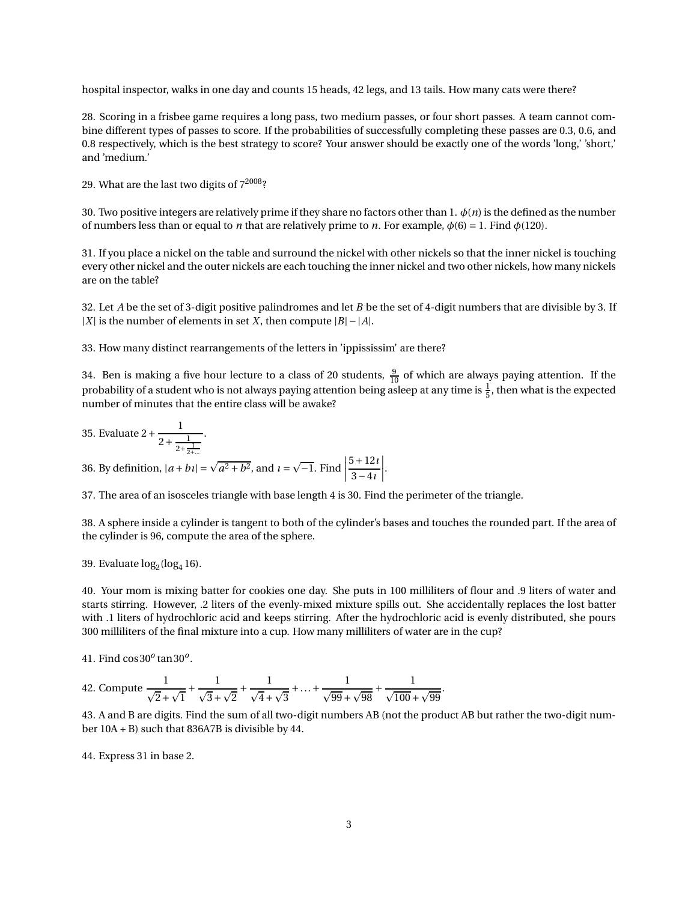hospital inspector, walks in one day and counts 15 heads, 42 legs, and 13 tails. How many cats were there?

28. Scoring in a frisbee game requires a long pass, two medium passes, or four short passes. A team cannot combine different types of passes to score. If the probabilities of successfully completing these passes are 0.3, 0.6, and 0.8 respectively, which is the best strategy to score? Your answer should be exactly one of the words 'long,' 'short,' and 'medium.'

29. What are the last two digits of  $7^{2008}$ ?

30. Two positive integers are relatively prime if they share no factors other than 1.  $\phi(n)$  is the defined as the number of numbers less than or equal to *n* that are relatively prime to *n*. For example, *φ*(6) = 1. Find *φ*(120).

31. If you place a nickel on the table and surround the nickel with other nickels so that the inner nickel is touching every other nickel and the outer nickels are each touching the inner nickel and two other nickels, how many nickels are on the table?

32. Let *A* be the set of 3-digit positive palindromes and let *B* be the set of 4-digit numbers that are divisible by 3. If |*X*| is the number of elements in set *X*, then compute |*B*| −|*A*|.

33. How many distinct rearrangements of the letters in 'ippississim' are there?

34. Ben is making a five hour lecture to a class of 20 students,  $\frac{9}{10}$  of which are always paying attention. If the probability of a student who is not always paying attention being asleep at any time is  $\frac{1}{5}$ , then what is the expected number of minutes that the entire class will be awake?

35. Evaluate 
$$
2 + \frac{1}{2 + \frac{1}{2 + \frac{1}{2 + ...}}}
$$
.  
36. By definition,  $|a + bi| = \sqrt{a^2 + b^2}$ , and  $i = \sqrt{-1}$ . Find  $\left| \frac{5 + 12i}{3 - 4i} \right|$ .

37. The area of an isosceles triangle with base length 4 is 30. Find the perimeter of the triangle.

38. A sphere inside a cylinder is tangent to both of the cylinder's bases and touches the rounded part. If the area of the cylinder is 96, compute the area of the sphere.

39. Evaluate  $log_2(log_4 16)$ .

40. Your mom is mixing batter for cookies one day. She puts in 100 milliliters of flour and .9 liters of water and starts stirring. However, .2 liters of the evenly-mixed mixture spills out. She accidentally replaces the lost batter with .1 liters of hydrochloric acid and keeps stirring. After the hydrochloric acid is evenly distributed, she pours 300 milliliters of the final mixture into a cup. How many milliliters of water are in the cup?

41. Find cos30*<sup>o</sup>* tan30*<sup>o</sup>* .

42. Compute 
$$
\frac{1}{\sqrt{2} + \sqrt{1}} + \frac{1}{\sqrt{3} + \sqrt{2}} + \frac{1}{\sqrt{4} + \sqrt{3}} + \dots + \frac{1}{\sqrt{99} + \sqrt{98}} + \frac{1}{\sqrt{100} + \sqrt{99}}.
$$

43. A and B are digits. Find the sum of all two-digit numbers AB (not the product AB but rather the two-digit number 10A + B) such that 836A7B is divisible by 44.

44. Express 31 in base 2.